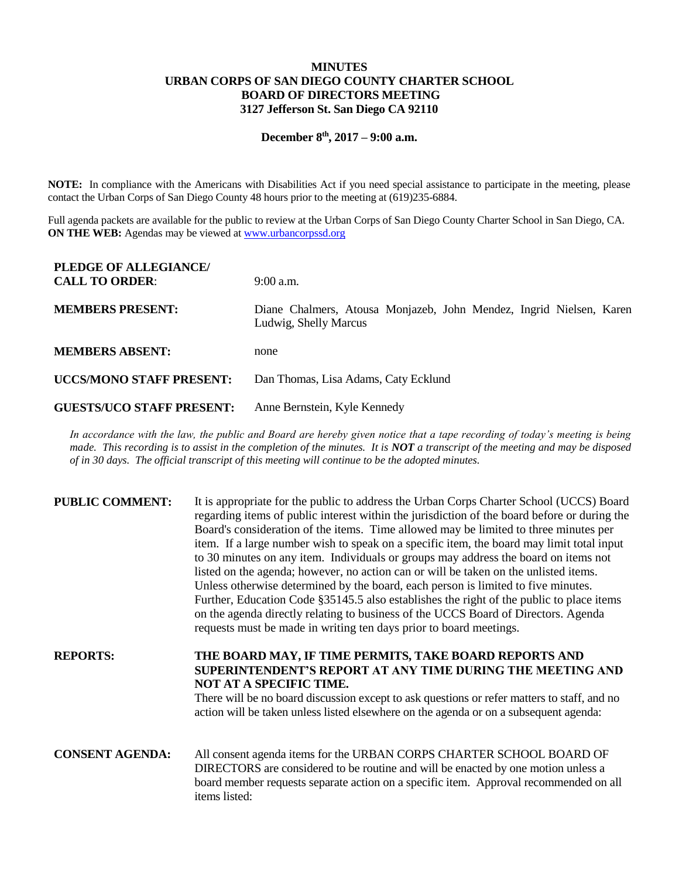## **MINUTES URBAN CORPS OF SAN DIEGO COUNTY CHARTER SCHOOL BOARD OF DIRECTORS MEETING 3127 Jefferson St. San Diego CA 92110**

# **December 8th, 2017 – 9:00 a.m.**

**NOTE:** In compliance with the Americans with Disabilities Act if you need special assistance to participate in the meeting, please contact the Urban Corps of San Diego County 48 hours prior to the meeting at (619)235-6884.

Full agenda packets are available for the public to review at the Urban Corps of San Diego County Charter School in San Diego, CA. **ON THE WEB:** Agendas may be viewed at [www.urbancorpssd.org](http://www.urbancorpssd.org/)

| PLEDGE OF ALLEGIANCE/<br><b>CALL TO ORDER:</b> | $9:00$ a.m.                                                                                  |
|------------------------------------------------|----------------------------------------------------------------------------------------------|
| <b>MEMBERS PRESENT:</b>                        | Diane Chalmers, Atousa Monjazeb, John Mendez, Ingrid Nielsen, Karen<br>Ludwig, Shelly Marcus |
| <b>MEMBERS ABSENT:</b>                         | none                                                                                         |
| <b>UCCS/MONO STAFF PRESENT:</b>                | Dan Thomas, Lisa Adams, Caty Ecklund                                                         |
| <b>GUESTS/UCO STAFF PRESENT:</b>               | Anne Bernstein, Kyle Kennedy                                                                 |

*In accordance with the law, the public and Board are hereby given notice that a tape recording of today's meeting is being made. This recording is to assist in the completion of the minutes. It is NOT a transcript of the meeting and may be disposed of in 30 days. The official transcript of this meeting will continue to be the adopted minutes.*

| <b>PUBLIC COMMENT:</b> | It is appropriate for the public to address the Urban Corps Charter School (UCCS) Board<br>regarding items of public interest within the jurisdiction of the board before or during the<br>Board's consideration of the items. Time allowed may be limited to three minutes per<br>item. If a large number wish to speak on a specific item, the board may limit total input<br>to 30 minutes on any item. Individuals or groups may address the board on items not<br>listed on the agenda; however, no action can or will be taken on the unlisted items.<br>Unless otherwise determined by the board, each person is limited to five minutes.<br>Further, Education Code §35145.5 also establishes the right of the public to place items<br>on the agenda directly relating to business of the UCCS Board of Directors. Agenda<br>requests must be made in writing ten days prior to board meetings. |
|------------------------|----------------------------------------------------------------------------------------------------------------------------------------------------------------------------------------------------------------------------------------------------------------------------------------------------------------------------------------------------------------------------------------------------------------------------------------------------------------------------------------------------------------------------------------------------------------------------------------------------------------------------------------------------------------------------------------------------------------------------------------------------------------------------------------------------------------------------------------------------------------------------------------------------------|
| <b>REPORTS:</b>        | THE BOARD MAY, IF TIME PERMITS, TAKE BOARD REPORTS AND<br>SUPERINTENDENT'S REPORT AT ANY TIME DURING THE MEETING AND<br>NOT AT A SPECIFIC TIME.<br>There will be no board discussion except to ask questions or refer matters to staff, and no<br>action will be taken unless listed elsewhere on the agenda or on a subsequent agenda:                                                                                                                                                                                                                                                                                                                                                                                                                                                                                                                                                                  |
| <b>CONSENT AGENDA:</b> | All consent agenda items for the URBAN CORPS CHARTER SCHOOL BOARD OF<br>DIRECTORS are considered to be routine and will be enacted by one motion unless a<br>board member requests separate action on a specific item. Approval recommended on all                                                                                                                                                                                                                                                                                                                                                                                                                                                                                                                                                                                                                                                       |

items listed: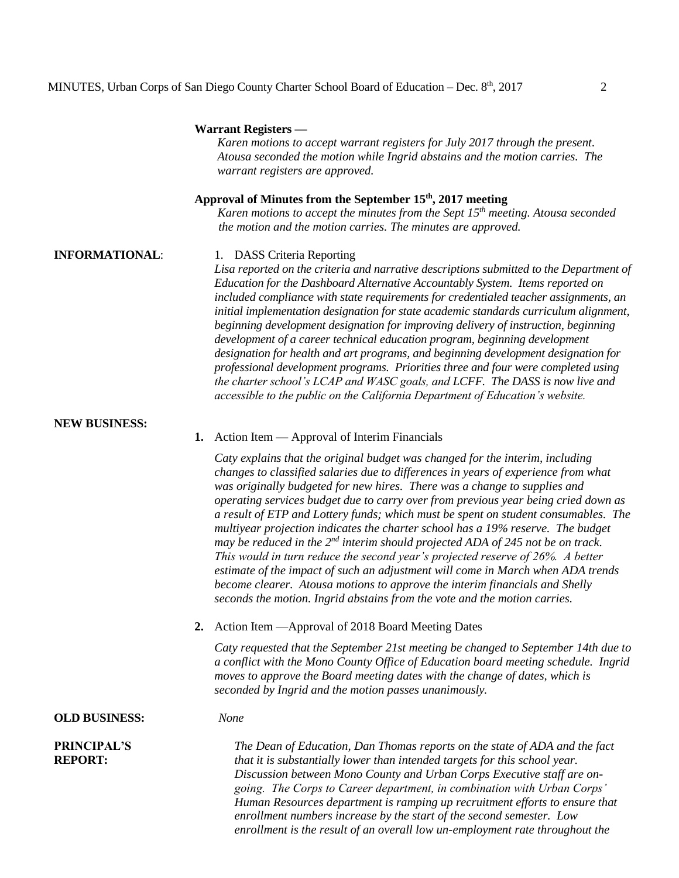#### **Warrant Registers —**

*Karen motions to accept warrant registers for July 2017 through the present. Atousa seconded the motion while Ingrid abstains and the motion carries. The warrant registers are approved.* 

### **Approval of Minutes from the September 15th, 2017 meeting**

*Karen motions to accept the minutes from the Sept 15th meeting. Atousa seconded the motion and the motion carries. The minutes are approved.*

### **INFORMATIONAL:** 1. DASS Criteria Reporting

*Lisa reported on the criteria and narrative descriptions submitted to the Department of Education for the Dashboard Alternative Accountably System. Items reported on included compliance with state requirements for credentialed teacher assignments, an initial implementation designation for state academic standards curriculum alignment, beginning development designation for improving delivery of instruction, beginning development of a career technical education program, beginning development designation for health and art programs, and beginning development designation for professional development programs. Priorities three and four were completed using the charter school's LCAP and WASC goals, and LCFF. The DASS is now live and accessible to the public on the California Department of Education's website.* 

#### **NEW BUSINESS:**

#### 1. Action Item — Approval of Interim Financials

*Caty explains that the original budget was changed for the interim, including changes to classified salaries due to differences in years of experience from what was originally budgeted for new hires. There was a change to supplies and operating services budget due to carry over from previous year being cried down as a result of ETP and Lottery funds; which must be spent on student consumables. The multiyear projection indicates the charter school has a 19% reserve. The budget may be reduced in the 2nd interim should projected ADA of 245 not be on track. This would in turn reduce the second year's projected reserve of 26%. A better estimate of the impact of such an adjustment will come in March when ADA trends become clearer. Atousa motions to approve the interim financials and Shelly seconds the motion. Ingrid abstains from the vote and the motion carries.*

**2.** Action Item —Approval of 2018 Board Meeting Dates

*Caty requested that the September 21st meeting be changed to September 14th due to a conflict with the Mono County Office of Education board meeting schedule. Ingrid moves to approve the Board meeting dates with the change of dates, which is seconded by Ingrid and the motion passes unanimously.* 

#### **OLD BUSINESS:** *None*

### **PRINCIPAL'S REPORT:**

*The Dean of Education, Dan Thomas reports on the state of ADA and the fact that it is substantially lower than intended targets for this school year. Discussion between Mono County and Urban Corps Executive staff are ongoing. The Corps to Career department, in combination with Urban Corps' Human Resources department is ramping up recruitment efforts to ensure that enrollment numbers increase by the start of the second semester. Low enrollment is the result of an overall low un-employment rate throughout the*